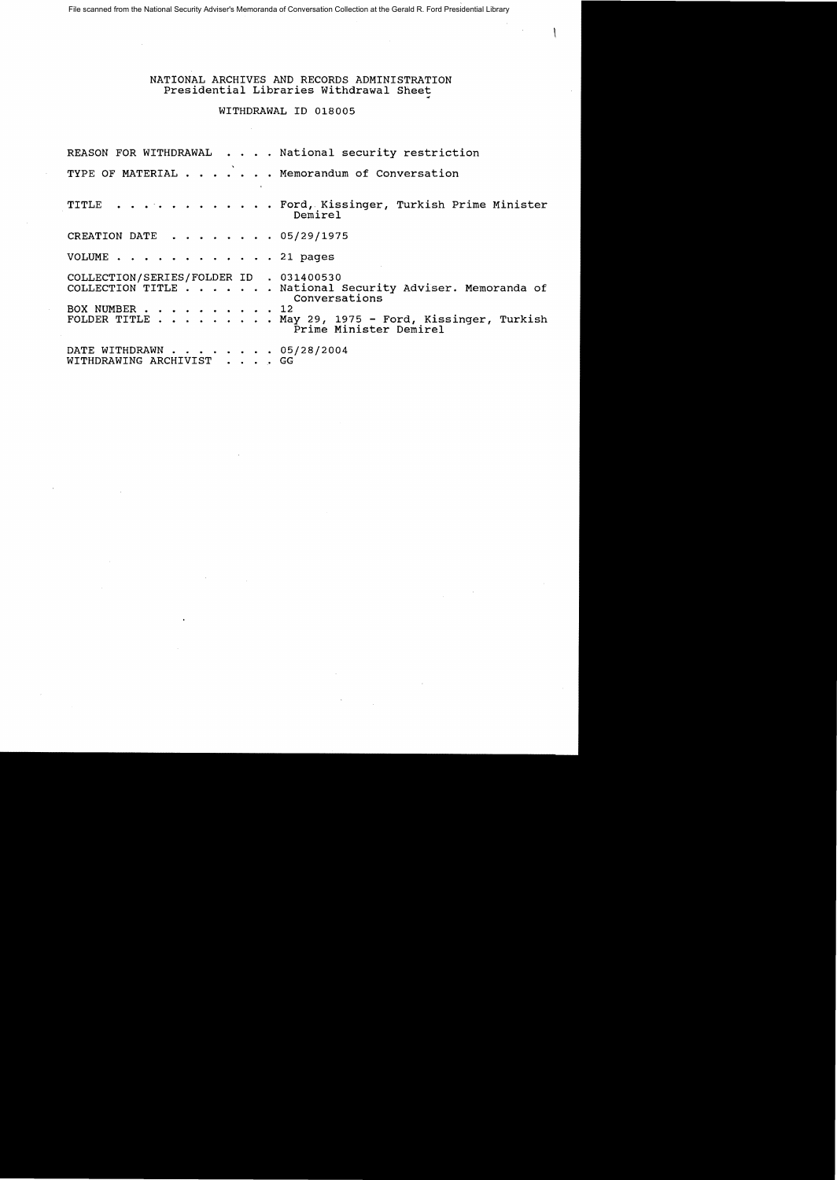File scanned from the National Security Adviser's Memoranda of Conversation Collection at the Gerald R. Ford Presidential Library

## NATIONAL ARCHIVES AND RECORDS ADMINISTRATION Presidential Libraries withdrawal Sheet

## WITHDRAWAL ID 018005

|                                                          | REASON FOR WITHDRAWAL National security restriction                                                                                                         |
|----------------------------------------------------------|-------------------------------------------------------------------------------------------------------------------------------------------------------------|
|                                                          | TYPE OF MATERIAL Memorandum of Conversation                                                                                                                 |
|                                                          | TITLE Ford, Kissinger, Turkish Prime Minister<br>Demirel                                                                                                    |
| CREATION DATE 05/29/1975                                 |                                                                                                                                                             |
| VOLUME 21 pages                                          |                                                                                                                                                             |
| COLLECTION/SERIES/FOLDER ID . 031400530<br>BOX NUMBER 12 | COLLECTION TITLE National Security Adviser. Memoranda of<br>Conversations<br>FOLDER TITLE May 29, 1975 - Ford, Kissinger, Turkish<br>Prime Minister Demirel |
| DATE WITHDRAWN 05/28/2004<br>WITHDRAWING ARCHIVIST GG    |                                                                                                                                                             |